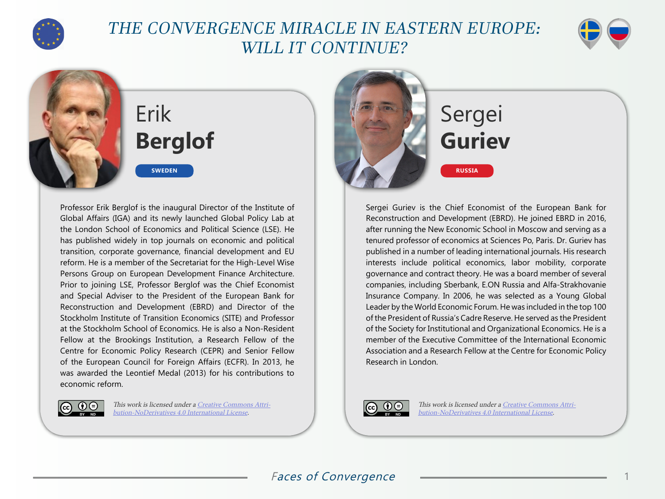

## THE CONVERGENCE MIRACLE IN EASTERN EUROPE: WILL IT CONTINUE?



# Erik **Berglof**

**SWEDEN**

Professor Erik Berglof is the inaugural Director of the Institute of Global Affairs (IGA) and its newly launched Global Policy Lab at the London School of Economics and Political Science (LSE). He has published widely in top journals on economic and political transition, corporate governance, financial development and EU reform. He is a member of the Secretariat for the High-Level Wise Persons Group on European Development Finance Architecture. Prior to joining LSE, Professor Berglof was the Chief Economist and Special Adviser to the President of the European Bank for Reconstruction and Development (EBRD) and Director of the Stockholm Institute of Transition Economics (SITE) and Professor at the Stockholm School of Economics. He is also a Non-Resident Fellow at the Brookings Institution, a Research Fellow of the Centre for Economic Policy Research (CEPR) and Senior Fellow of the European Council for Foreign Affairs (ECFR). In 2013, he was awarded the Leontief Medal (2013) for his contributions to economic reform.



This work is licensed under a [Creative Commons Attri](https://creativecommons.org/licenses/by-nd/4.0/)[bution-NoDerivatives 4.0 International License](https://creativecommons.org/licenses/by-nd/4.0/).



# Sergei **Guriev**

**RUSSIA**

Sergei Guriev is the Chief Economist of the European Bank for Reconstruction and Development (EBRD). He joined EBRD in 2016, after running the New Economic School in Moscow and serving as a tenured professor of economics at Sciences Po, Paris. Dr. Guriev has published in a number of leading international journals. His research interests include political economics, labor mobility, corporate governance and contract theory. He was a board member of several companies, including Sberbank, E.ON Russia and Alfa-Strakhovanie Insurance Company. In 2006, he was selected as a Young Global Leader by the World Economic Forum. He was included in the top 100 of the President of Russia's Cadre Reserve. He served as the President of the Society for Institutional and Organizational Economics. He is a member of the Executive Committee of the International Economic Association and a Research Fellow at the Centre for Economic Policy Research in London.



This work is licensed under a [Creative Commons Attri](https://creativecommons.org/licenses/by-nd/4.0/)[bution-NoDerivatives 4.0 International License](https://creativecommons.org/licenses/by-nd/4.0/).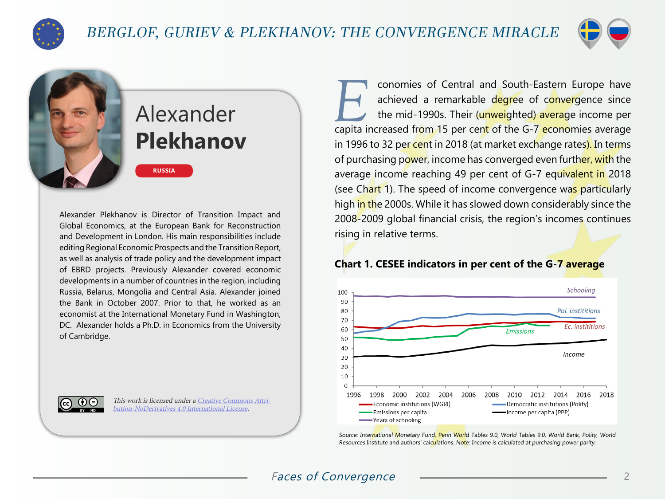

### BERGLOF, GURIEV & PLEKHANOV: THE CONVERGENCE MIRACLE



## Alexander **Plekhanov**

Alexander Plekhanov is Director of Transition Impact and Global Economics, at the European Bank for Reconstruction and Development in London. His main responsibilities include editing Regional Economic Prospects and the Transition Report, as well as analysis of trade policy and the development impact of EBRD projects. Previously Alexander covered economic developments in a number of countries in the region, including Russia, Belarus, Mongolia and Central Asia. Alexander joined the Bank in October 2007. Prior to that, he worked as an economist at the International Monetary Fund in Washington, DC. Alexander holds a Ph.D. in Economics from the University of Cambridge.

**RUSSIA**

This work is licensed under a [Creative Commons Attri](https://creativecommons.org/licenses/by-nd/4.0/)[bution-NoDerivatives 4.0 International License](https://creativecommons.org/licenses/by-nd/4.0/).

conomies of Central and South-Eastern Europe have<br>
achieved a remarkable degree of convergence since<br>
the mid-1990s. Their (unweighted) average income per<br>
capita increased from 15 per cent of the G-7 economies average achieved a remarkable degree of convergence since the mid-1990s. Their (unweighted) average income per in 1996 to 32 per cent in 2018 (at market exchange rates). In terms of purchasing power, income has converged even further, with the average income reaching 49 per cent of G-7 equivalent in 2018 (see Chart 1). The speed of income convergence was particularly high in the 2000s. While it has slowed down considerably since the 2008-2009 global financial crisis, the region's incomes continues rising in relative terms.

### **Chart 1. CESEE indicators in per cent of the G-7 average**



Source: International Monetary Fund, Penn World Tables 9.0, World Tables 9.0, World Bank, Polity, World Resources Institute and authors' calculations. Note: Income is calculated at purchasing power parity.

### Faces of Convergence  $\qquad \qquad \overbrace{2}$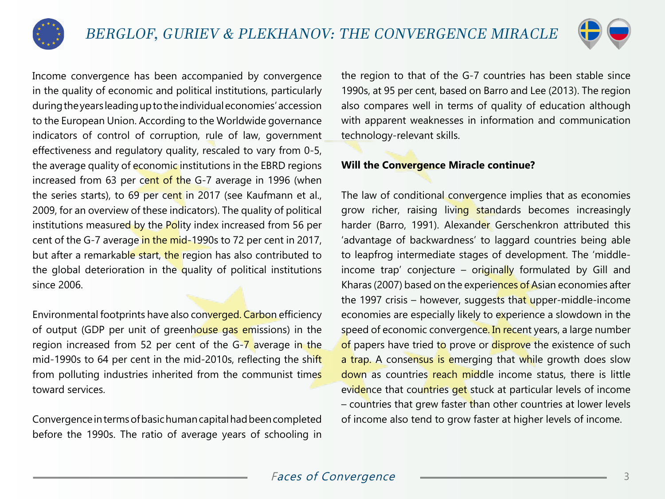



Income convergence has been accompanied by convergence in the quality of economic and political institutions, particularly during the years leading up to the individual economies' accession to the European Union. According to the Worldwide governance indicators of control of corruption, rule of law, government effectiveness and regulatory quality, rescaled to vary from 0-5, the average quality of economic institutions in the EBRD regions increased from 63 per cent of the G-7 average in 1996 (when the series starts), to 69 per cent in 2017 (see Kaufmann et al., 2009, for an overview of these indicators). The quality of political institutions measured by the Polity index increased from 56 per cent of the G-7 average in the mid-1990s to 72 per cent in 2017, but after a remarkable start, the region has also contributed to the global deterioration in the quality of political institutions since 2006.

Environmental footprints have also converged. Carbon efficiency of output (GDP per unit of greenhouse gas emissions) in the region increased from 52 per cent of the  $G - 7$  average in the mid-1990s to 64 per cent in the mid-2010s, reflecting the shift from polluting industries inherited from the communist times toward services.

Convergence in terms of basic human capital had been completed before the 1990s. The ratio of average years of schooling in the region to that of the G-7 countries has been stable since 1990s, at 95 per cent, based on Barro and Lee (2013). The region also compares well in terms of quality of education although with apparent weaknesses in information and communication technology-relevant skills.

### **Will the Convergence Miracle continue?**

The law of conditional convergence implies that as economies grow richer, raising living standards becomes increasingly harder (Barro, 1991). Alexander Gerschenkron attributed this 'advantage of backwardness' to laggard countries being able to leapfrog intermediate stages of development. The 'middleincome trap' conjecture  $-$  originally formulated by Gill and Kharas (2007) based on the experiences of Asian economies after the 1997 crisis – however, suggests that upper-middle-income economies are especially likely to experience a slowdown in the speed of economic convergence. In recent years, a large number of papers have tried to prove or disprove the existence of such a trap. A consensus is emerging that while growth does slow down as countries reach middle income status, there is little evidence that countries get stuck at particular levels of income – countries that grew faster than other countries at lower levels of income also tend to grow faster at higher levels of income.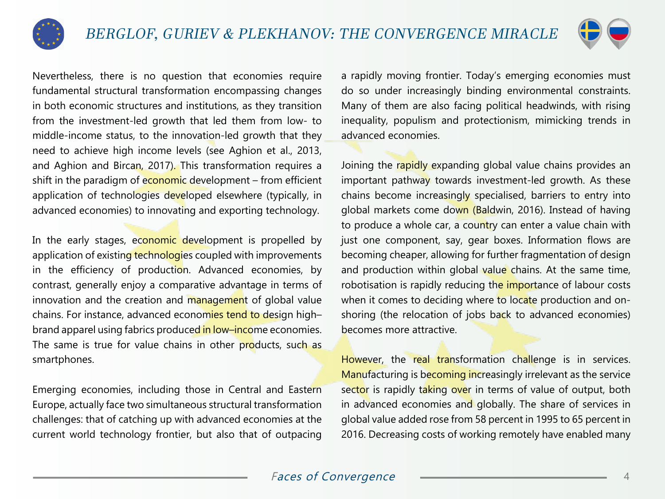



Nevertheless, there is no question that economies require fundamental structural transformation encompassing changes in both economic structures and institutions, as they transition from the investment-led growth that led them from low- to middle-income status, to the innovation-led growth that they need to achieve high income levels (see Aghion et al., 2013, and Aghion and Bircan, 2017). This transformation requires a shift in the paradigm of economic development – from efficient application of technologies developed elsewhere (typically, in advanced economies) to innovating and exporting technology.

In the early stages, economic development is propelled by application of existing technologies coupled with improvements in the efficiency of production. Advanced economies, by contrast, generally enjoy a comparative advantage in terms of innovation and the creation and management of global value chains. For instance, advanced economies tend to design highbrand apparel using fabrics produced in low–income economies. The same is true for value chains in other products, such as smartphones.

Emerging economies, including those in Central and Eastern Europe, actually face two simultaneous structural transformation challenges: that of catching up with advanced economies at the current world technology frontier, but also that of outpacing

a rapidly moving frontier. Today's emerging economies must do so under increasingly binding environmental constraints. Many of them are also facing political headwinds, with rising inequality, populism and protectionism, mimicking trends in advanced economies.

Joining the rapidly expanding global value chains provides an important pathway towards investment-led growth. As these chains become increasingly specialised, barriers to entry into global markets come down (Baldwin, 2016). Instead of having to produce a whole car, a country can enter a value chain with just one component, say, gear boxes. Information flows are becoming cheaper, allowing for further fragmentation of design and production within global value chains. At the same time, robotisation is rapidly reducing the importance of labour costs when it comes to deciding where to locate production and onshoring (the relocation of jobs back to advanced economies) becomes more attractive.

However, the real transformation challenge is in services. Manufacturing is becoming increasingly irrelevant as the service sector is rapidly taking over in terms of value of output, both in advanced economies and globally. The share of services in global value added rose from 58 percent in 1995 to 65 percent in 2016. Decreasing costs of working remotely have enabled many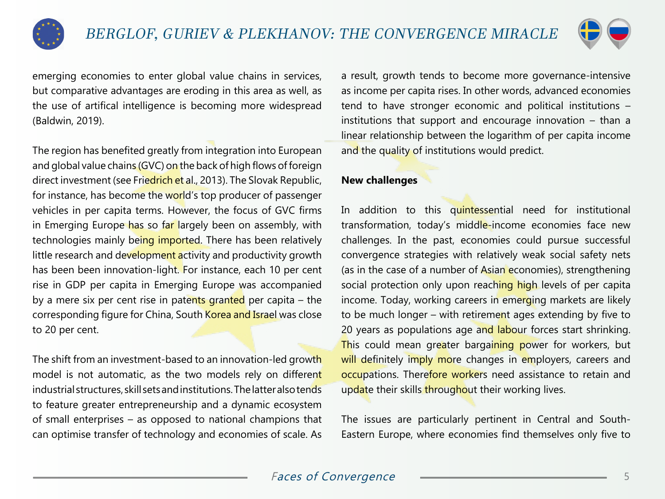



emerging economies to enter global value chains in services, but comparative advantages are eroding in this area as well, as the use of artifical intelligence is becoming more widespread (Baldwin, 2019).

The region has benefited greatly from integration into European and global value chains (GVC) on the back of high flows of foreign direct investment (see Friedrich et al., 2013). The Slovak Republic, for instance, has become the world's top producer of passenger vehicles in per capita terms. However, the focus of GVC firms in Emerging Europe has so far largely been on assembly, with technologies mainly being imported. There has been relatively little research and development activity and productivity growth has been been innovation-light. For instance, each 10 per cent rise in GDP per capita in Emerging Europe was accompanied by a mere six per cent rise in patents granted per capita  $-$  the corresponding figure for China, South Korea and Israel was close to 20 per cent.

The shift from an investment-based to an innovation-led growth model is not automatic, as the two models rely on different industrial structures, skill sets and institutions. The latter also tends to feature greater entrepreneurship and a dynamic ecosystem of small enterprises – as opposed to national champions that can optimise transfer of technology and economies of scale. As

a result, growth tends to become more governance-intensive as income per capita rises. In other words, advanced economies tend to have stronger economic and political institutions – institutions that support and encourage innovation – than a linear relationship between the logarithm of per capita income and the quality of institutions would predict.

#### **New challenges**

In addition to this quintessential need for institutional transformation, today's middle-income economies face new challenges. In the past, economies could pursue successful convergence strategies with relatively weak social safety nets (as in the case of a number of Asian economies), strengthening social protection only upon reaching high levels of per capita income. Today, working careers in emerging markets are likely to be much longer – with retirement ages extending by five to 20 years as populations age and labour forces start shrinking. This could mean greater bargaining power for workers, but will definitely imply more changes in employers, careers and occupations. Therefore workers need assistance to retain and update their skills throughout their working lives.

The issues are particularly pertinent in Central and South-Eastern Europe, where economies find themselves only five to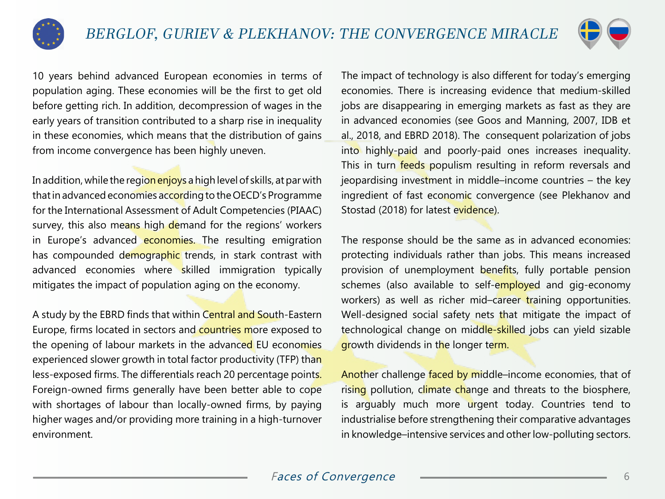



10 years behind advanced European economies in terms of population aging. These economies will be the first to get old before getting rich. In addition, decompression of wages in the early years of transition contributed to a sharp rise in inequality in these economies, which means that the distribution of gains from income convergence has been highly uneven.

In addition, while the region enjoys a high level of skills, at par with that in advanced economies according to the OECD's Programme for the International Assessment of Adult Competencies (PIAAC) survey, this also means high demand for the regions' workers in Europe's advanced economies. The resulting emigration has compounded demographic trends, in stark contrast with advanced economies where skilled immigration typically mitigates the impact of population aging on the economy.

A study by the EBRD finds that within Central and South-Eastern Europe, firms located in sectors and countries more exposed to the opening of labour markets in the advanced EU economies experienced slower growth in total factor productivity (TFP) than less-exposed firms. The differentials reach 20 percentage points. Foreign-owned firms generally have been better able to cope with shortages of labour than locally-owned firms, by paying higher wages and/or providing more training in a high-turnover environment.

The impact of technology is also different for today's emerging economies. There is increasing evidence that medium-skilled jobs are disappearing in emerging markets as fast as they are in advanced economies (see Goos and Manning, 2007, IDB et al., 2018, and EBRD 2018). The consequent polarization of jobs into highly-paid and poorly-paid ones increases inequality. This in turn feeds populism resulting in reform reversals and jeopardising investment in middle–income countries – the key ingredient of fast economic convergence (see Plekhanov and Stostad (2018) for latest evidence).

The response should be the same as in advanced economies: protecting individuals rather than jobs. This means increased provision of unemployment benefits, fully portable pension schemes (also available to self-employed and gig-economy workers) as well as richer mid-career training opportunities. Well-designed social safety nets that mitigate the impact of technological change on middle-skilled jobs can yield sizable growth dividends in the longer term.

Another challenge faced by middle-income economies, that of rising pollution, climate change and threats to the biosphere, is arguably much more urgent today. Countries tend to industrialise before strengthening their comparative advantages in knowledge–intensive services and other low-polluting sectors.